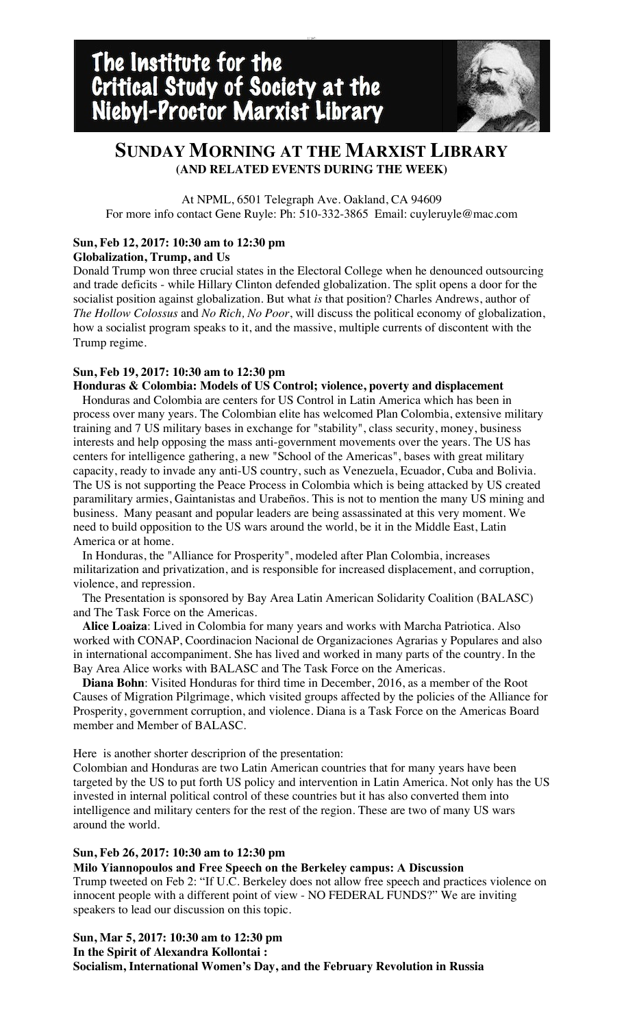# **SUNDAY MORNING AT THE MARXIST LIBRARY (AND RELATED EVENTS DURING THE WEEK)**

[;';[u7-

At NPML, 6501 Telegraph Ave. Oakland, CA 94609 For more info contact Gene Ruyle: Ph: 510-332-3865 Email: cuyleruyle@mac.com

## **Sun, Feb 12, 2017: 10:30 am to 12:30 pm**

**Globalization, Trump, and Us**

Donald Trump won three crucial states in the Electoral College when he denounced outsourcing and trade deficits - while Hillary Clinton defended globalization. The split opens a door for the socialist position against globalization. But what *is* that position? Charles Andrews, author of *The Hollow Colossus* and *No Rich, No Poor*, will discuss the political economy of globalization, how a socialist program speaks to it, and the massive, multiple currents of discontent with the Trump regime.

## **Sun, Feb 19, 2017: 10:30 am to 12:30 pm**

**Honduras & Colombia: Models of US Control; violence, poverty and displacement** Honduras and Colombia are centers for US Control in Latin America which has been in process over many years. The Colombian elite has welcomed Plan Colombia, extensive military training and 7 US military bases in exchange for "stability", class security, money, business interests and help opposing the mass anti-government movements over the years. The US has centers for intelligence gathering, a new "School of the Americas", bases with great military capacity, ready to invade any anti-US country, such as Venezuela, Ecuador, Cuba and Bolivia. The US is not supporting the Peace Process in Colombia which is being attacked by US created paramilitary armies, Gaintanistas and Urabeños. This is not to mention the many US mining and business. Many peasant and popular leaders are being assassinated at this very moment. We need to build opposition to the US wars around the world, be it in the Middle East, Latin America or at home.

 In Honduras, the "Alliance for Prosperity", modeled after Plan Colombia, increases militarization and privatization, and is responsible for increased displacement, and corruption, violence, and repression.

 The Presentation is sponsored by Bay Area Latin American Solidarity Coalition (BALASC) and The Task Force on the Americas.

 **Alice Loaiza**: Lived in Colombia for many years and works with Marcha Patriotica. Also worked with CONAP, Coordinacion Nacional de Organizaciones Agrarias y Populares and also in international accompaniment. She has lived and worked in many parts of the country. In the Bay Area Alice works with BALASC and The Task Force on the Americas.

 **Diana Bohn**: Visited Honduras for third time in December, 2016, as a member of the Root Causes of Migration Pilgrimage, which visited groups affected by the policies of the Alliance for Prosperity, government corruption, and violence. Diana is a Task Force on the Americas Board member and Member of BALASC.

Here is another shorter descriprion of the presentation:

Colombian and Honduras are two Latin American countries that for many years have been targeted by the US to put forth US policy and intervention in Latin America. Not only has the US invested in internal political control of these countries but it has also converted them into intelligence and military centers for the rest of the region. These are two of many US wars around the world.

### **Sun, Feb 26, 2017: 10:30 am to 12:30 pm**

**Milo Yiannopoulos and Free Speech on the Berkeley campus: A Discussion** Trump tweeted on Feb 2: "If U.C. Berkeley does not allow free speech and practices violence on innocent people with a different point of view - NO FEDERAL FUNDS?" We are inviting speakers to lead our discussion on this topic.

**Sun, Mar 5, 2017: 10:30 am to 12:30 pm In the Spirit of Alexandra Kollontai : Socialism, International Women's Day, and the February Revolution in Russia**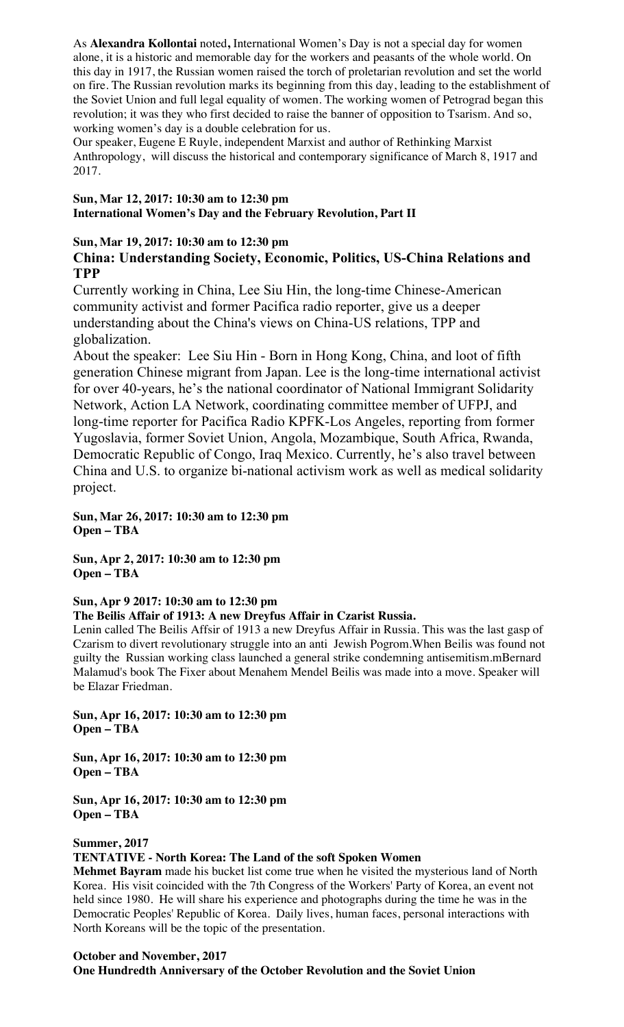As **Alexandra Kollontai** noted**,** International Women's Day is not a special day for women alone, it is a historic and memorable day for the workers and peasants of the whole world. On this day in 1917, the Russian women raised the torch of proletarian revolution and set the world on fire. The Russian revolution marks its beginning from this day, leading to the establishment of the Soviet Union and full legal equality of women. The working women of Petrograd began this revolution; it was they who first decided to raise the banner of opposition to Tsarism. And so, working women's day is a double celebration for us.

Our speaker, Eugene E Ruyle, independent Marxist and author of Rethinking Marxist Anthropology, will discuss the historical and contemporary significance of March 8, 1917 and 2017.

## **Sun, Mar 12, 2017: 10:30 am to 12:30 pm International Women's Day and the February Revolution, Part II**

## **Sun, Mar 19, 2017: 10:30 am to 12:30 pm**

# **China: Understanding Society, Economic, Politics, US-China Relations and TPP**

Currently working in China, Lee Siu Hin, the long-time Chinese-American community activist and former Pacifica radio reporter, give us a deeper understanding about the China's views on China-US relations, TPP and globalization.

About the speaker: Lee Siu Hin - Born in Hong Kong, China, and loot of fifth generation Chinese migrant from Japan. Lee is the long-time international activist for over 40-years, he's the national coordinator of National Immigrant Solidarity Network, Action LA Network, coordinating committee member of UFPJ, and long-time reporter for Pacifica Radio KPFK-Los Angeles, reporting from former Yugoslavia, former Soviet Union, Angola, Mozambique, South Africa, Rwanda, Democratic Republic of Congo, Iraq Mexico. Currently, he's also travel between China and U.S. to organize bi-national activism work as well as medical solidarity project.

**Sun, Mar 26, 2017: 10:30 am to 12:30 pm Open – TBA**

**Sun, Apr 2, 2017: 10:30 am to 12:30 pm Open – TBA**

## **Sun, Apr 9 2017: 10:30 am to 12:30 pm**

**The Beilis Affair of 1913: A new Dreyfus Affair in Czarist Russia.** 

Lenin called The Beilis Affsir of 1913 a new Dreyfus Affair in Russia. This was the last gasp of Czarism to divert revolutionary struggle into an anti Jewish Pogrom.When Beilis was found not guilty the Russian working class launched a general strike condemning antisemitism.mBernard Malamud's book The Fixer about Menahem Mendel Beilis was made into a move. Speaker will be Elazar Friedman.

**Sun, Apr 16, 2017: 10:30 am to 12:30 pm Open – TBA**

**Sun, Apr 16, 2017: 10:30 am to 12:30 pm Open – TBA**

**Sun, Apr 16, 2017: 10:30 am to 12:30 pm Open – TBA**

## **Summer, 2017**

## **TENTATIVE - North Korea: The Land of the soft Spoken Women**

**Mehmet Bayram** made his bucket list come true when he visited the mysterious land of North Korea. His visit coincided with the 7th Congress of the Workers' Party of Korea, an event not held since 1980. He will share his experience and photographs during the time he was in the Democratic Peoples' Republic of Korea. Daily lives, human faces, personal interactions with North Koreans will be the topic of the presentation.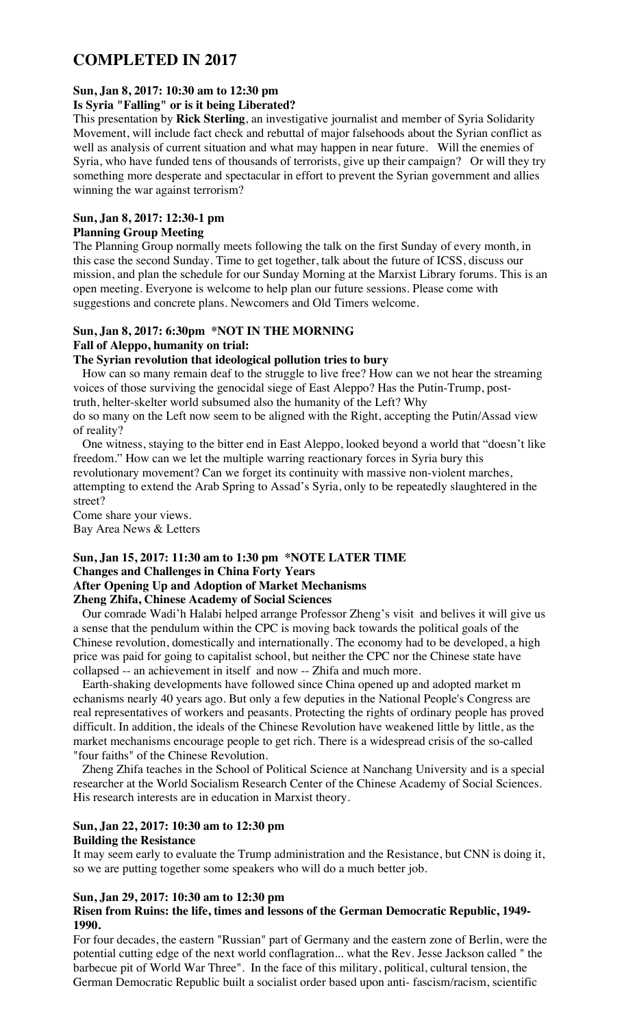# **COMPLETED IN 2017**

## **Sun, Jan 8, 2017: 10:30 am to 12:30 pm**

## **Is Syria "Falling" or is it being Liberated?**

This presentation by **Rick Sterling**, an investigative journalist and member of Syria Solidarity Movement, will include fact check and rebuttal of major falsehoods about the Syrian conflict as well as analysis of current situation and what may happen in near future. Will the enemies of Syria, who have funded tens of thousands of terrorists, give up their campaign? Or will they try something more desperate and spectacular in effort to prevent the Syrian government and allies winning the war against terrorism?

## **Sun, Jan 8, 2017: 12:30-1 pm**

## **Planning Group Meeting**

The Planning Group normally meets following the talk on the first Sunday of every month, in this case the second Sunday. Time to get together, talk about the future of ICSS, discuss our mission, and plan the schedule for our Sunday Morning at the Marxist Library forums. This is an open meeting. Everyone is welcome to help plan our future sessions. Please come with suggestions and concrete plans. Newcomers and Old Timers welcome.

#### **Sun, Jan 8, 2017: 6:30pm \*NOT IN THE MORNING Fall of Aleppo, humanity on trial:**

# **The Syrian revolution that ideological pollution tries to bury**

 How can so many remain deaf to the struggle to live free? How can we not hear the streaming voices of those surviving the genocidal siege of East Aleppo? Has the Putin-Trump, posttruth, helter-skelter world subsumed also the humanity of the Left? Why do so many on the Left now seem to be aligned with the Right, accepting the Putin/Assad view

of reality?

 One witness, staying to the bitter end in East Aleppo, looked beyond a world that "doesn't like freedom." How can we let the multiple warring reactionary forces in Syria bury this revolutionary movement? Can we forget its continuity with massive non-violent marches, attempting to extend the Arab Spring to Assad's Syria, only to be repeatedly slaughtered in the street?

Come share your views.

Bay Area News & Letters

#### **Sun, Jan 15, 2017: 11:30 am to 1:30 pm \*NOTE LATER TIME Changes and Challenges in China Forty Years After Opening Up and Adoption of Market Mechanisms Zheng Zhifa, Chinese Academy of Social Sciences**

 Our comrade Wadi'h Halabi helped arrange Professor Zheng's visit and belives it will give us a sense that the pendulum within the CPC is moving back towards the political goals of the Chinese revolution, domestically and internationally. The economy had to be developed, a high price was paid for going to capitalist school, but neither the CPC nor the Chinese state have collapsed -- an achievement in itself and now -- Zhifa and much more.

 Earth-shaking developments have followed since China opened up and adopted market m echanisms nearly 40 years ago. But only a few deputies in the National People's Congress are real representatives of workers and peasants. Protecting the rights of ordinary people has proved difficult. In addition, the ideals of the Chinese Revolution have weakened little by little, as the market mechanisms encourage people to get rich. There is a widespread crisis of the so-called "four faiths" of the Chinese Revolution.

 Zheng Zhifa teaches in the School of Political Science at Nanchang University and is a special researcher at the World Socialism Research Center of the Chinese Academy of Social Sciences. His research interests are in education in Marxist theory.

# **Sun, Jan 22, 2017: 10:30 am to 12:30 pm**

### **Building the Resistance**

It may seem early to evaluate the Trump administration and the Resistance, but CNN is doing it, so we are putting together some speakers who will do a much better job.

## **Sun, Jan 29, 2017: 10:30 am to 12:30 pm**

## **Risen from Ruins: the life, times and lessons of the German Democratic Republic, 1949- 1990.**

For four decades, the eastern "Russian" part of Germany and the eastern zone of Berlin, were the potential cutting edge of the next world conflagration... what the Rev. Jesse Jackson called " the barbecue pit of World War Three". In the face of this military, political, cultural tension, the German Democratic Republic built a socialist order based upon anti- fascism/racism, scientific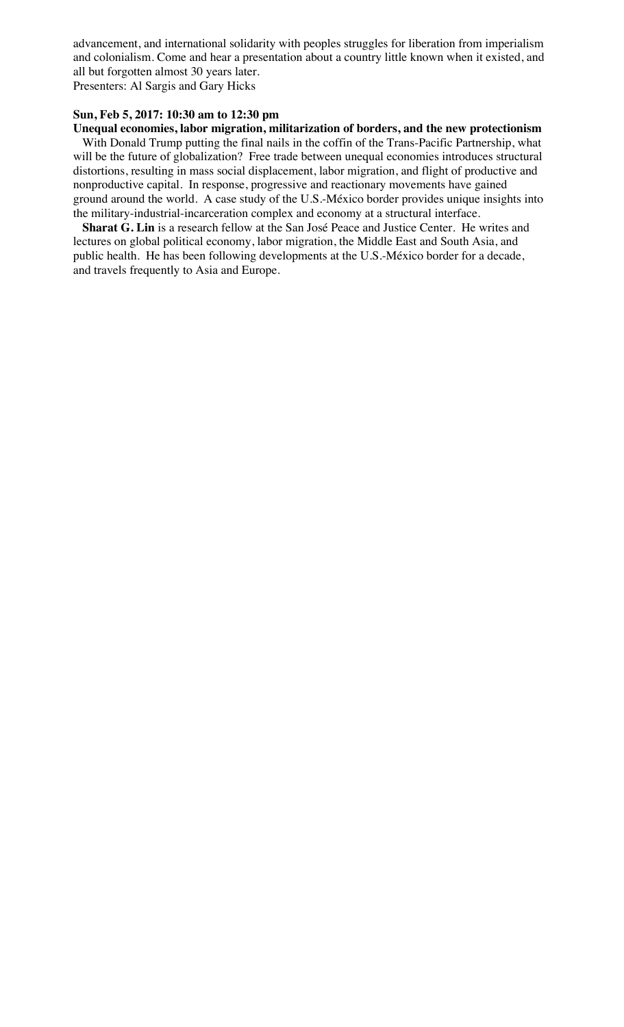advancement, and international solidarity with peoples struggles for liberation from imperialism and colonialism. Come and hear a presentation about a country little known when it existed, and all but forgotten almost 30 years later.

Presenters: Al Sargis and Gary Hicks

## **Sun, Feb 5, 2017: 10:30 am to 12:30 pm**

**Unequal economies, labor migration, militarization of borders, and the new protectionism** With Donald Trump putting the final nails in the coffin of the Trans-Pacific Partnership, what will be the future of globalization? Free trade between unequal economies introduces structural distortions, resulting in mass social displacement, labor migration, and flight of productive and nonproductive capital. In response, progressive and reactionary movements have gained ground around the world. A case study of the U.S.-México border provides unique insights into the military-industrial-incarceration complex and economy at a structural interface.

 **Sharat G. Lin** is a research fellow at the San José Peace and Justice Center. He writes and lectures on global political economy, labor migration, the Middle East and South Asia, and public health. He has been following developments at the U.S.-México border for a decade, and travels frequently to Asia and Europe.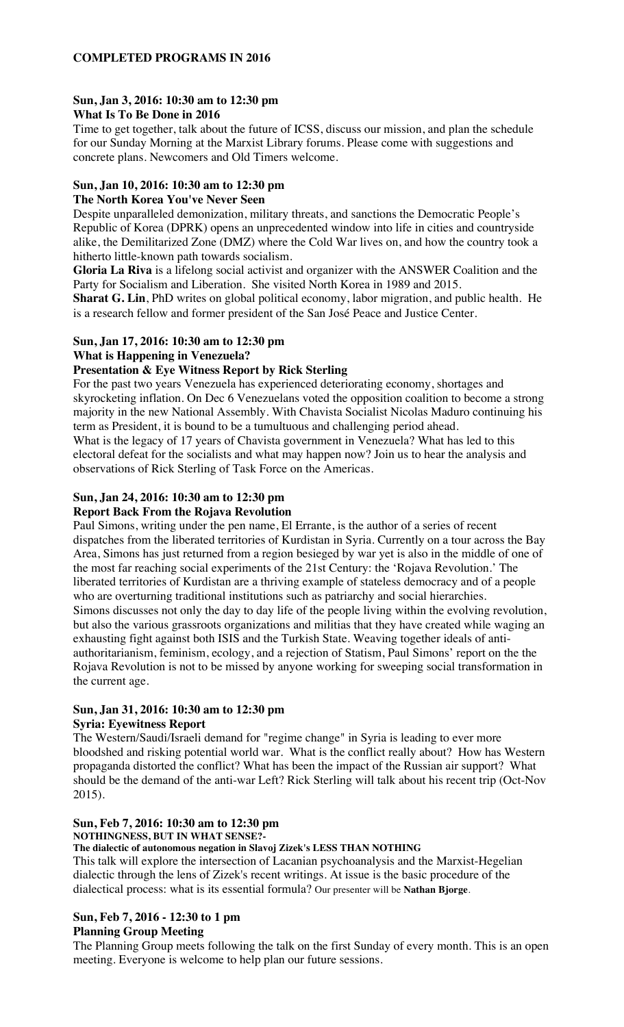### **COMPLETED PROGRAMS IN 2016**

#### **Sun, Jan 3, 2016: 10:30 am to 12:30 pm What Is To Be Done in 2016**

Time to get together, talk about the future of ICSS, discuss our mission, and plan the schedule for our Sunday Morning at the Marxist Library forums. Please come with suggestions and concrete plans. Newcomers and Old Timers welcome.

## **Sun, Jan 10, 2016: 10:30 am to 12:30 pm**

#### **The North Korea You've Never Seen**

Despite unparalleled demonization, military threats, and sanctions the Democratic People's Republic of Korea (DPRK) opens an unprecedented window into life in cities and countryside alike, the Demilitarized Zone (DMZ) where the Cold War lives on, and how the country took a hitherto little-known path towards socialism.

**Gloria La Riva** is a lifelong social activist and organizer with the ANSWER Coalition and the Party for Socialism and Liberation. She visited North Korea in 1989 and 2015.

**Sharat G. Lin**, PhD writes on global political economy, labor migration, and public health. He is a research fellow and former president of the San José Peace and Justice Center.

## **Sun, Jan 17, 2016: 10:30 am to 12:30 pm**

**What is Happening in Venezuela?**

### **Presentation & Eye Witness Report by Rick Sterling**

For the past two years Venezuela has experienced deteriorating economy, shortages and skyrocketing inflation. On Dec 6 Venezuelans voted the opposition coalition to become a strong majority in the new National Assembly. With Chavista Socialist Nicolas Maduro continuing his term as President, it is bound to be a tumultuous and challenging period ahead.

What is the legacy of 17 years of Chavista government in Venezuela? What has led to this electoral defeat for the socialists and what may happen now? Join us to hear the analysis and observations of Rick Sterling of Task Force on the Americas.

### **Sun, Jan 24, 2016: 10:30 am to 12:30 pm**

#### **Report Back From the Rojava Revolution**

Paul Simons, writing under the pen name, El Errante, is the author of a series of recent dispatches from the liberated territories of Kurdistan in Syria. Currently on a tour across the Bay Area, Simons has just returned from a region besieged by war yet is also in the middle of one of the most far reaching social experiments of the 21st Century: the 'Rojava Revolution.' The liberated territories of Kurdistan are a thriving example of stateless democracy and of a people who are overturning traditional institutions such as patriarchy and social hierarchies. Simons discusses not only the day to day life of the people living within the evolving revolution, but also the various grassroots organizations and militias that they have created while waging an exhausting fight against both ISIS and the Turkish State. Weaving together ideals of antiauthoritarianism, feminism, ecology, and a rejection of Statism, Paul Simons' report on the the Rojava Revolution is not to be missed by anyone working for sweeping social transformation in the current age.

# **Sun, Jan 31, 2016: 10:30 am to 12:30 pm**

## **Syria: Eyewitness Report**

The Western/Saudi/Israeli demand for "regime change" in Syria is leading to ever more bloodshed and risking potential world war. What is the conflict really about? How has Western propaganda distorted the conflict? What has been the impact of the Russian air support? What should be the demand of the anti-war Left? Rick Sterling will talk about his recent trip (Oct-Nov 2015).

### **Sun, Feb 7, 2016: 10:30 am to 12:30 pm**

**NOTHINGNESS, BUT IN WHAT SENSE?-**

#### **The dialectic of autonomous negation in Slavoj Zizek's LESS THAN NOTHING**

This talk will explore the intersection of Lacanian psychoanalysis and the Marxist-Hegelian dialectic through the lens of Zizek's recent writings. At issue is the basic procedure of the dialectical process: what is its essential formula? Our presenter will be **Nathan Bjorge**.

#### **Sun, Feb 7, 2016 - 12:30 to 1 pm Planning Group Meeting**

The Planning Group meets following the talk on the first Sunday of every month. This is an open meeting. Everyone is welcome to help plan our future sessions.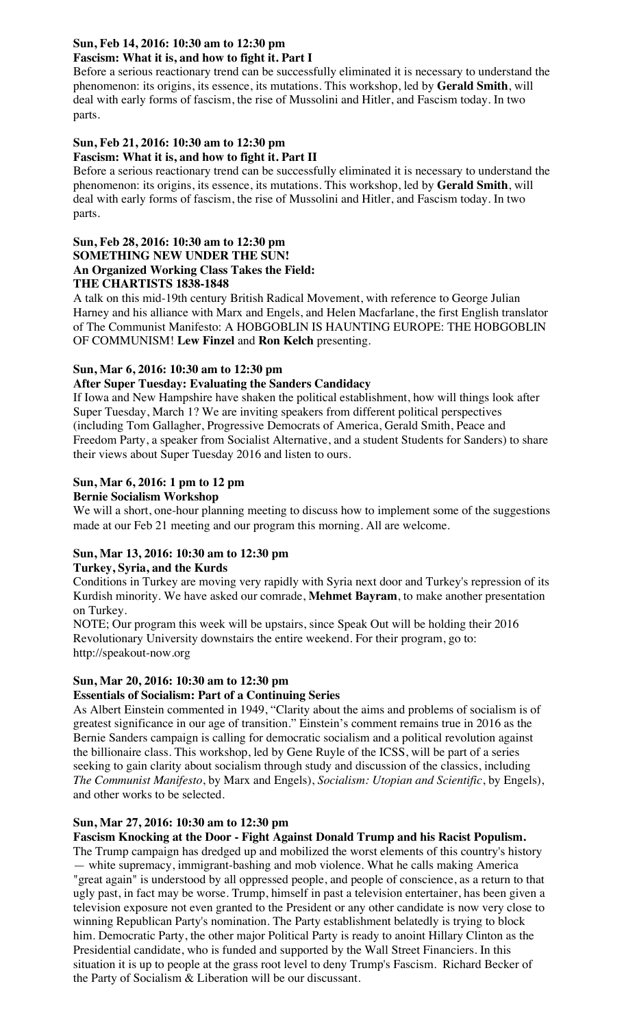# **Sun, Feb 14, 2016: 10:30 am to 12:30 pm**

## **Fascism: What it is, and how to fight it. Part I**

Before a serious reactionary trend can be successfully eliminated it is necessary to understand the phenomenon: its origins, its essence, its mutations. This workshop, led by **Gerald Smith**, will deal with early forms of fascism, the rise of Mussolini and Hitler, and Fascism today. In two parts.

#### **Sun, Feb 21, 2016: 10:30 am to 12:30 pm Fascism: What it is, and how to fight it. Part II**

Before a serious reactionary trend can be successfully eliminated it is necessary to understand the phenomenon: its origins, its essence, its mutations. This workshop, led by **Gerald Smith**, will deal with early forms of fascism, the rise of Mussolini and Hitler, and Fascism today. In two parts.

## **Sun, Feb 28, 2016: 10:30 am to 12:30 pm SOMETHING NEW UNDER THE SUN! An Organized Working Class Takes the Field: THE CHARTISTS 1838-1848**

A talk on this mid-19th century British Radical Movement, with reference to George Julian Harney and his alliance with Marx and Engels, and Helen Macfarlane, the first English translator of The Communist Manifesto: A HOBGOBLIN IS HAUNTING EUROPE: THE HOBGOBLIN OF COMMUNISM! **Lew Finzel** and **Ron Kelch** presenting.

## **Sun, Mar 6, 2016: 10:30 am to 12:30 pm**

## **After Super Tuesday: Evaluating the Sanders Candidacy**

If Iowa and New Hampshire have shaken the political establishment, how will things look after Super Tuesday, March 1? We are inviting speakers from different political perspectives (including Tom Gallagher, Progressive Democrats of America, Gerald Smith, Peace and Freedom Party, a speaker from Socialist Alternative, and a student Students for Sanders) to share their views about Super Tuesday 2016 and listen to ours.

## **Sun, Mar 6, 2016: 1 pm to 12 pm**

### **Bernie Socialism Workshop**

We will a short, one-hour planning meeting to discuss how to implement some of the suggestions made at our Feb 21 meeting and our program this morning. All are welcome.

## **Sun, Mar 13, 2016: 10:30 am to 12:30 pm**

### **Turkey, Syria, and the Kurds**

Conditions in Turkey are moving very rapidly with Syria next door and Turkey's repression of its Kurdish minority. We have asked our comrade, **Mehmet Bayram**, to make another presentation on Turkey.

NOTE; Our program this week will be upstairs, since Speak Out will be holding their 2016 Revolutionary University downstairs the entire weekend. For their program, go to: http://speakout-now.org

#### **Sun, Mar 20, 2016: 10:30 am to 12:30 pm Essentials of Socialism: Part of a Continuing Series**

## As Albert Einstein commented in 1949, "Clarity about the aims and problems of socialism is of greatest significance in our age of transition." Einstein's comment remains true in 2016 as the Bernie Sanders campaign is calling for democratic socialism and a political revolution against the billionaire class. This workshop, led by Gene Ruyle of the ICSS, will be part of a series seeking to gain clarity about socialism through study and discussion of the classics, including *The Communist Manifesto*, by Marx and Engels), *Socialism: Utopian and Scientific*, by Engels),

# and other works to be selected.

## **Sun, Mar 27, 2016: 10:30 am to 12:30 pm**

## **Fascism Knocking at the Door - Fight Against Donald Trump and his Racist Populism.**

The Trump campaign has dredged up and mobilized the worst elements of this country's history — white supremacy, immigrant-bashing and mob violence. What he calls making America "great again" is understood by all oppressed people, and people of conscience, as a return to that ugly past, in fact may be worse. Trump, himself in past a television entertainer, has been given a television exposure not even granted to the President or any other candidate is now very close to winning Republican Party's nomination. The Party establishment belatedly is trying to block him. Democratic Party, the other major Political Party is ready to anoint Hillary Clinton as the Presidential candidate, who is funded and supported by the Wall Street Financiers. In this situation it is up to people at the grass root level to deny Trump's Fascism. Richard Becker of the Party of Socialism & Liberation will be our discussant.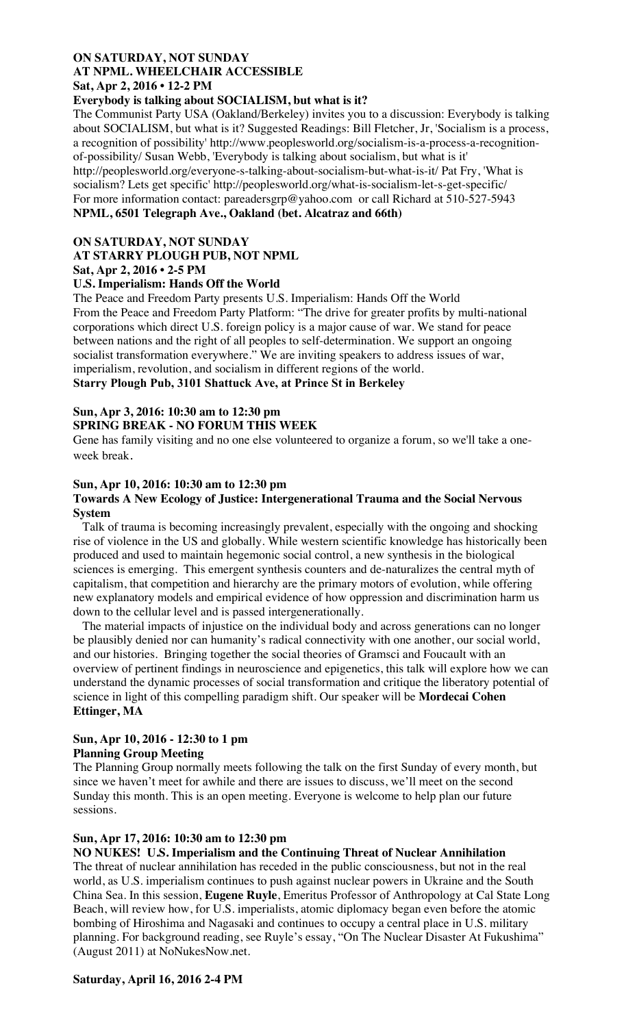## **ON SATURDAY, NOT SUNDAY AT NPML. WHEELCHAIR ACCESSIBLE Sat, Apr 2, 2016 • 12-2 PM**

## **Everybody is talking about SOCIALISM, but what is it?**

The Communist Party USA (Oakland/Berkeley) invites you to a discussion: Everybody is talking about SOCIALISM, but what is it? Suggested Readings: Bill Fletcher, Jr, 'Socialism is a process, a recognition of possibility' http://www.peoplesworld.org/socialism-is-a-process-a-recognitionof-possibility/ Susan Webb, 'Everybody is talking about socialism, but what is it' http://peoplesworld.org/everyone-s-talking-about-socialism-but-what-is-it/ Pat Fry, 'What is socialism? Lets get specific' http://peoplesworld.org/what-is-socialism-let-s-get-specific/ For more information contact: pareadersgrp@yahoo.com or call Richard at 510-527-5943 **NPML, 6501 Telegraph Ave., Oakland (bet. Alcatraz and 66th)**

#### **ON SATURDAY, NOT SUNDAY**

#### **AT STARRY PLOUGH PUB, NOT NPML**

### **Sat, Apr 2, 2016 • 2-5 PM**

## **U.S. Imperialism: Hands Off the World**

The Peace and Freedom Party presents U.S. Imperialism: Hands Off the World From the Peace and Freedom Party Platform: "The drive for greater profits by multi-national corporations which direct U.S. foreign policy is a major cause of war. We stand for peace between nations and the right of all peoples to self-determination. We support an ongoing socialist transformation everywhere." We are inviting speakers to address issues of war, imperialism, revolution, and socialism in different regions of the world.

## **Starry Plough Pub, 3101 Shattuck Ave, at Prince St in Berkeley**

### **Sun, Apr 3, 2016: 10:30 am to 12:30 pm**

## **SPRING BREAK - NO FORUM THIS WEEK**

Gene has family visiting and no one else volunteered to organize a forum, so we'll take a oneweek break.

### **Sun, Apr 10, 2016: 10:30 am to 12:30 pm**

#### **Towards A New Ecology of Justice: Intergenerational Trauma and the Social Nervous System**

 Talk of trauma is becoming increasingly prevalent, especially with the ongoing and shocking rise of violence in the US and globally. While western scientific knowledge has historically been produced and used to maintain hegemonic social control, a new synthesis in the biological sciences is emerging. This emergent synthesis counters and de-naturalizes the central myth of capitalism, that competition and hierarchy are the primary motors of evolution, while offering new explanatory models and empirical evidence of how oppression and discrimination harm us down to the cellular level and is passed intergenerationally.

 The material impacts of injustice on the individual body and across generations can no longer be plausibly denied nor can humanity's radical connectivity with one another, our social world, and our histories. Bringing together the social theories of Gramsci and Foucault with an overview of pertinent findings in neuroscience and epigenetics, this talk will explore how we can understand the dynamic processes of social transformation and critique the liberatory potential of science in light of this compelling paradigm shift. Our speaker will be **Mordecai Cohen Ettinger, MA**

### **Sun, Apr 10, 2016 - 12:30 to 1 pm Planning Group Meeting**

The Planning Group normally meets following the talk on the first Sunday of every month, but since we haven't meet for awhile and there are issues to discuss, we'll meet on the second Sunday this month. This is an open meeting. Everyone is welcome to help plan our future sessions.

### **Sun, Apr 17, 2016: 10:30 am to 12:30 pm**

### **NO NUKES! U.S. Imperialism and the Continuing Threat of Nuclear Annihilation**

The threat of nuclear annihilation has receded in the public consciousness, but not in the real world, as U.S. imperialism continues to push against nuclear powers in Ukraine and the South China Sea. In this session, **Eugene Ruyle**, Emeritus Professor of Anthropology at Cal State Long Beach, will review how, for U.S. imperialists, atomic diplomacy began even before the atomic bombing of Hiroshima and Nagasaki and continues to occupy a central place in U.S. military planning. For background reading, see Ruyle's essay, "On The Nuclear Disaster At Fukushima" (August 2011) at NoNukesNow.net.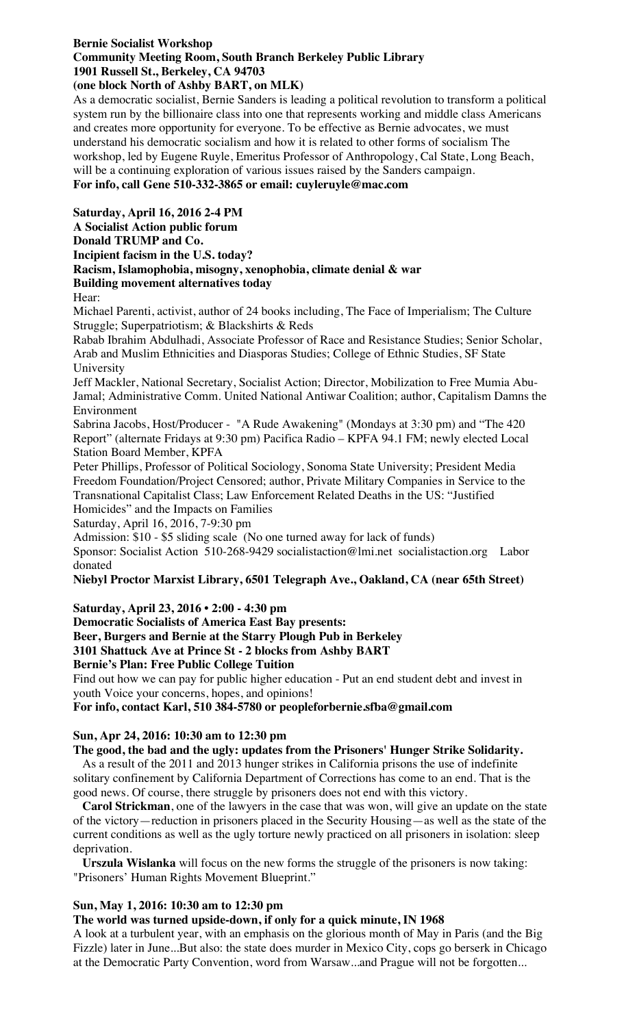# **Bernie Socialist Workshop Community Meeting Room, South Branch Berkeley Public Library 1901 Russell St., Berkeley, CA 94703**

## **(one block North of Ashby BART, on MLK)**

As a democratic socialist, Bernie Sanders is leading a political revolution to transform a political system run by the billionaire class into one that represents working and middle class Americans and creates more opportunity for everyone. To be effective as Bernie advocates, we must understand his democratic socialism and how it is related to other forms of socialism The workshop, led by Eugene Ruyle, Emeritus Professor of Anthropology, Cal State, Long Beach, will be a continuing exploration of various issues raised by the Sanders campaign. **For info, call Gene 510-332-3865 or email: cuyleruyle@mac.com**

**Saturday, April 16, 2016 2-4 PM**

**A Socialist Action public forum**

**Donald TRUMP and Co.**

**Incipient facism in the U.S. today?**

**Racism, Islamophobia, misogny, xenophobia, climate denial & war Building movement alternatives today**

Hear:

Michael Parenti, activist, author of 24 books including, The Face of Imperialism; The Culture Struggle; Superpatriotism; & Blackshirts & Reds

Rabab Ibrahim Abdulhadi, Associate Professor of Race and Resistance Studies; Senior Scholar, Arab and Muslim Ethnicities and Diasporas Studies; College of Ethnic Studies, SF State University

Jeff Mackler, National Secretary, Socialist Action; Director, Mobilization to Free Mumia Abu-Jamal; Administrative Comm. United National Antiwar Coalition; author, Capitalism Damns the Environment

Sabrina Jacobs, Host/Producer - "A Rude Awakening" (Mondays at 3:30 pm) and "The 420 Report" (alternate Fridays at 9:30 pm) Pacifica Radio – KPFA 94.1 FM; newly elected Local Station Board Member, KPFA

Peter Phillips, Professor of Political Sociology, Sonoma State University; President Media Freedom Foundation/Project Censored; author, Private Military Companies in Service to the Transnational Capitalist Class; Law Enforcement Related Deaths in the US: "Justified

Homicides" and the Impacts on Families

Saturday, April 16, 2016, 7-9:30 pm

Admission: \$10 - \$5 sliding scale (No one turned away for lack of funds)

Sponsor: Socialist Action 510-268-9429 socialistaction@lmi.net socialistaction.org Labor donated

**Niebyl Proctor Marxist Library, 6501 Telegraph Ave., Oakland, CA (near 65th Street)**

**Saturday, April 23, 2016 • 2:00 - 4:30 pm**

**Democratic Socialists of America East Bay presents: Beer, Burgers and Bernie at the Starry Plough Pub in Berkeley 3101 Shattuck Ave at Prince St - 2 blocks from Ashby BART Bernie's Plan: Free Public College Tuition**

Find out how we can pay for public higher education - Put an end student debt and invest in youth Voice your concerns, hopes, and opinions!

**For info, contact Karl, 510 384-5780 or peopleforbernie.sfba@gmail.com**

## **Sun, Apr 24, 2016: 10:30 am to 12:30 pm**

## **The good, the bad and the ugly: updates from the Prisoners' Hunger Strike Solidarity.**

 As a result of the 2011 and 2013 hunger strikes in California prisons the use of indefinite solitary confinement by California Department of Corrections has come to an end. That is the good news. Of course, there struggle by prisoners does not end with this victory.

 **Carol Strickman**, one of the lawyers in the case that was won, will give an update on the state of the victory—reduction in prisoners placed in the Security Housing—as well as the state of the current conditions as well as the ugly torture newly practiced on all prisoners in isolation: sleep deprivation.

 **Urszula Wislanka** will focus on the new forms the struggle of the prisoners is now taking: "Prisoners' Human Rights Movement Blueprint."

## **Sun, May 1, 2016: 10:30 am to 12:30 pm**

### **The world was turned upside-down, if only for a quick minute, IN 1968**

A look at a turbulent year, with an emphasis on the glorious month of May in Paris (and the Big Fizzle) later in June...But also: the state does murder in Mexico City, cops go berserk in Chicago at the Democratic Party Convention, word from Warsaw...and Prague will not be forgotten...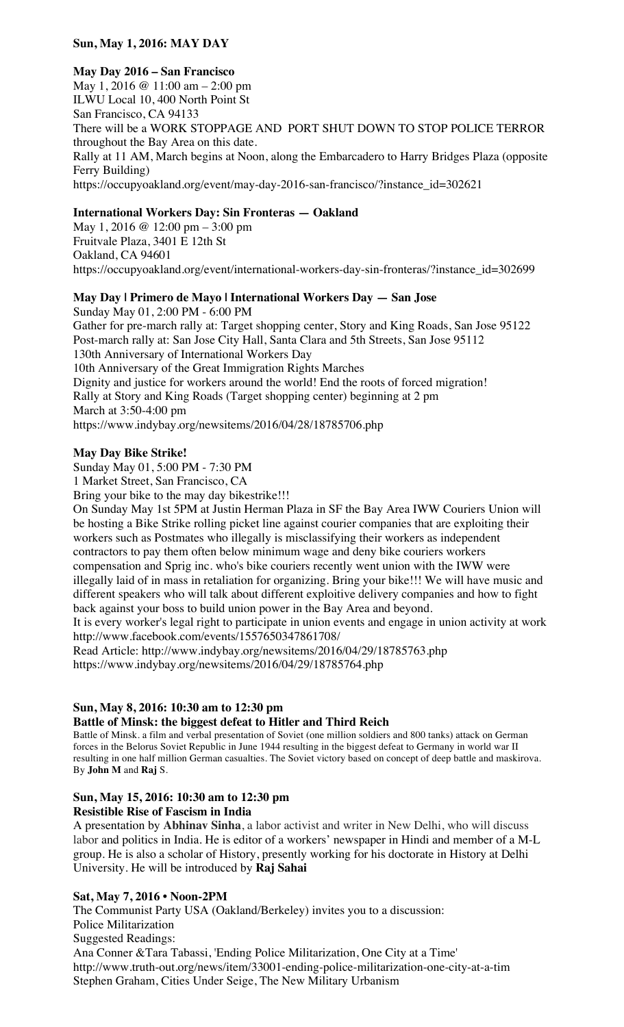## **Sun, May 1, 2016: MAY DAY**

#### **May Day 2016 – San Francisco**

May 1, 2016 @ 11:00 am – 2:00 pm ILWU Local 10, 400 North Point St San Francisco, CA 94133 There will be a WORK STOPPAGE AND PORT SHUT DOWN TO STOP POLICE TERROR throughout the Bay Area on this date. Rally at 11 AM, March begins at Noon, along the Embarcadero to Harry Bridges Plaza (opposite Ferry Building) https://occupyoakland.org/event/may-day-2016-san-francisco/?instance\_id=302621

### **International Workers Day: Sin Fronteras — Oakland**

May 1, 2016 @ 12:00 pm – 3:00 pm Fruitvale Plaza, 3401 E 12th St Oakland, CA 94601 https://occupyoakland.org/event/international-workers-day-sin-fronteras/?instance\_id=302699

# **May Day | Primero de Mayo | International Workers Day — San Jose**

Sunday May 01, 2:00 PM - 6:00 PM Gather for pre-march rally at: Target shopping center, Story and King Roads, San Jose 95122 Post-march rally at: San Jose City Hall, Santa Clara and 5th Streets, San Jose 95112 130th Anniversary of International Workers Day 10th Anniversary of the Great Immigration Rights Marches Dignity and justice for workers around the world! End the roots of forced migration! Rally at Story and King Roads (Target shopping center) beginning at 2 pm March at 3:50-4:00 pm https://www.indybay.org/newsitems/2016/04/28/18785706.php

### **May Day Bike Strike!**

Sunday May 01, 5:00 PM - 7:30 PM

1 Market Street, San Francisco, CA

Bring your bike to the may day bikestrike!!!

On Sunday May 1st 5PM at Justin Herman Plaza in SF the Bay Area IWW Couriers Union will be hosting a Bike Strike rolling picket line against courier companies that are exploiting their workers such as Postmates who illegally is misclassifying their workers as independent contractors to pay them often below minimum wage and deny bike couriers workers compensation and Sprig inc. who's bike couriers recently went union with the IWW were illegally laid of in mass in retaliation for organizing. Bring your bike!!! We will have music and different speakers who will talk about different exploitive delivery companies and how to fight back against your boss to build union power in the Bay Area and beyond.

It is every worker's legal right to participate in union events and engage in union activity at work http://www.facebook.com/events/1557650347861708/

Read Article: http://www.indybay.org/newsitems/2016/04/29/18785763.php https://www.indybay.org/newsitems/2016/04/29/18785764.php

## **Sun, May 8, 2016: 10:30 am to 12:30 pm**

### **Battle of Minsk: the biggest defeat to Hitler and Third Reich**

Battle of Minsk. a film and verbal presentation of Soviet (one million soldiers and 800 tanks) attack on German forces in the Belorus Soviet Republic in June 1944 resulting in the biggest defeat to Germany in world war II resulting in one half million German casualties. The Soviet victory based on concept of deep battle and maskirova. By **John M** and **Raj** S.

# **Sun, May 15, 2016: 10:30 am to 12:30 pm**

**Resistible Rise of Fascism in India**

A presentation by **Abhinav Sinha**, a labor activist and writer in New Delhi, who will discuss labor and politics in India. He is editor of a workers' newspaper in Hindi and member of a M-L group. He is also a scholar of History, presently working for his doctorate in History at Delhi University. He will be introduced by **Raj Sahai**

### **Sat, May 7, 2016 • Noon-2PM**

The Communist Party USA (Oakland/Berkeley) invites you to a discussion: Police Militarization Suggested Readings: Ana Conner &Tara Tabassi, 'Ending Police Militarization, One City at a Time' http://www.truth-out.org/news/item/33001-ending-police-militarization-one-city-at-a-tim Stephen Graham, Cities Under Seige, The New Military Urbanism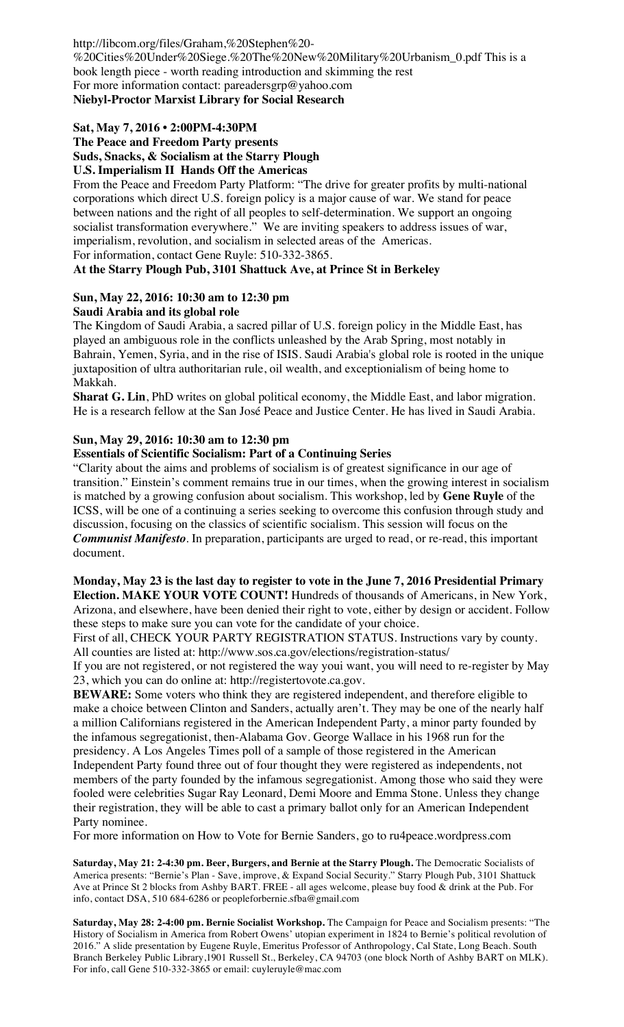http://libcom.org/files/Graham,%20Stephen%20- %20Cities%20Under%20Siege.%20The%20New%20Military%20Urbanism\_0.pdf This is a book length piece - worth reading introduction and skimming the rest For more information contact: pareadersgrp@yahoo.com **Niebyl-Proctor Marxist Library for Social Research**

## **Sat, May 7, 2016 • 2:00PM-4:30PM**

**The Peace and Freedom Party presents Suds, Snacks, & Socialism at the Starry Plough U.S. Imperialism II Hands Off the Americas**

From the Peace and Freedom Party Platform: "The drive for greater profits by multi-national corporations which direct U.S. foreign policy is a major cause of war. We stand for peace between nations and the right of all peoples to self-determination. We support an ongoing socialist transformation everywhere." We are inviting speakers to address issues of war, imperialism, revolution, and socialism in selected areas of the Americas. For information, contact Gene Ruyle: 510-332-3865.

## **At the Starry Plough Pub, 3101 Shattuck Ave, at Prince St in Berkeley**

# **Sun, May 22, 2016: 10:30 am to 12:30 pm**

## **Saudi Arabia and its global role**

The Kingdom of Saudi Arabia, a sacred pillar of U.S. foreign policy in the Middle East, has played an ambiguous role in the conflicts unleashed by the Arab Spring, most notably in Bahrain, Yemen, Syria, and in the rise of ISIS. Saudi Arabia's global role is rooted in the unique juxtaposition of ultra authoritarian rule, oil wealth, and exceptionialism of being home to Makkah.

**Sharat G. Lin**, PhD writes on global political economy, the Middle East, and labor migration. He is a research fellow at the San José Peace and Justice Center. He has lived in Saudi Arabia.

## **Sun, May 29, 2016: 10:30 am to 12:30 pm**

## **Essentials of Scientific Socialism: Part of a Continuing Series**

"Clarity about the aims and problems of socialism is of greatest significance in our age of transition." Einstein's comment remains true in our times, when the growing interest in socialism is matched by a growing confusion about socialism. This workshop, led by **Gene Ruyle** of the ICSS, will be one of a continuing a series seeking to overcome this confusion through study and discussion, focusing on the classics of scientific socialism. This session will focus on the *Communist Manifesto*. In preparation, participants are urged to read, or re-read, this important document.

## **Monday, May 23 is the last day to register to vote in the June 7, 2016 Presidential Primary Election. MAKE YOUR VOTE COUNT!** Hundreds of thousands of Americans, in New York,

Arizona, and elsewhere, have been denied their right to vote, either by design or accident. Follow these steps to make sure you can vote for the candidate of your choice.

First of all, CHECK YOUR PARTY REGISTRATION STATUS. Instructions vary by county. All counties are listed at: http://www.sos.ca.gov/elections/registration-status/

If you are not registered, or not registered the way youi want, you will need to re-register by May 23, which you can do online at: http://registertovote.ca.gov.

**BEWARE:** Some voters who think they are registered independent, and therefore eligible to make a choice between Clinton and Sanders, actually aren't. They may be one of the nearly half a million Californians registered in the American Independent Party, a minor party founded by the infamous segregationist, then-Alabama Gov. George Wallace in his 1968 run for the presidency. A Los Angeles Times poll of a sample of those registered in the American Independent Party found three out of four thought they were registered as independents, not members of the party founded by the infamous segregationist. Among those who said they were fooled were celebrities Sugar Ray Leonard, Demi Moore and Emma Stone. Unless they change their registration, they will be able to cast a primary ballot only for an American Independent Party nominee.

For more information on How to Vote for Bernie Sanders, go to ru4peace.wordpress.com

**Saturday, May 21: 2-4:30 pm. Beer, Burgers, and Bernie at the Starry Plough.** The Democratic Socialists of America presents: "Bernie's Plan - Save, improve, & Expand Social Security." Starry Plough Pub, 3101 Shattuck Ave at Prince St 2 blocks from Ashby BART. FREE - all ages welcome, please buy food & drink at the Pub. For info, contact DSA, 510 684-6286 or peopleforbernie.sfba@gmail.com

**Saturday, May 28: 2-4:00 pm. Bernie Socialist Workshop.** The Campaign for Peace and Socialism presents: "The History of Socialism in America from Robert Owens' utopian experiment in 1824 to Bernie's political revolution of 2016." A slide presentation by Eugene Ruyle, Emeritus Professor of Anthropology, Cal State, Long Beach. South Branch Berkeley Public Library,1901 Russell St., Berkeley, CA 94703 (one block North of Ashby BART on MLK). For info, call Gene 510-332-3865 or email: cuyleruyle@mac.com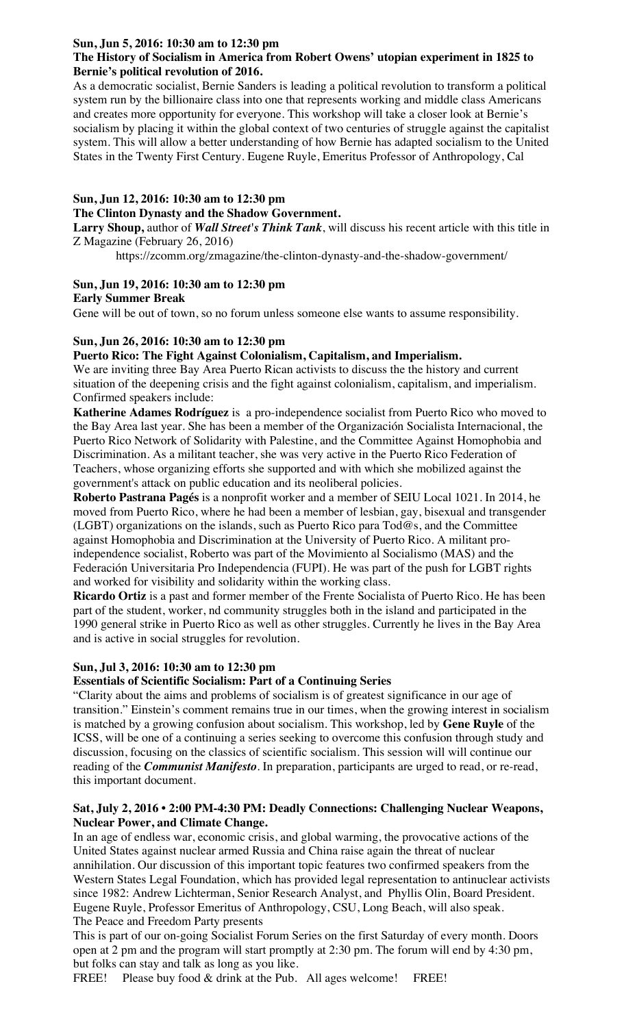## **Sun, Jun 5, 2016: 10:30 am to 12:30 pm**

## **The History of Socialism in America from Robert Owens' utopian experiment in 1825 to Bernie's political revolution of 2016.**

As a democratic socialist, Bernie Sanders is leading a political revolution to transform a political system run by the billionaire class into one that represents working and middle class Americans and creates more opportunity for everyone. This workshop will take a closer look at Bernie's socialism by placing it within the global context of two centuries of struggle against the capitalist system. This will allow a better understanding of how Bernie has adapted socialism to the United States in the Twenty First Century. Eugene Ruyle, Emeritus Professor of Anthropology, Cal

## **Sun, Jun 12, 2016: 10:30 am to 12:30 pm**

#### **The Clinton Dynasty and the Shadow Government.**

**Larry Shoup,** author of *Wall Street's Think Tank*, will discuss his recent article with this title in Z Magazine (February 26, 2016)

https://zcomm.org/zmagazine/the-clinton-dynasty-and-the-shadow-government/

## **Sun, Jun 19, 2016: 10:30 am to 12:30 pm**

### **Early Summer Break**

Gene will be out of town, so no forum unless someone else wants to assume responsibility.

### **Sun, Jun 26, 2016: 10:30 am to 12:30 pm**

### **Puerto Rico: The Fight Against Colonialism, Capitalism, and Imperialism.**

We are inviting three Bay Area Puerto Rican activists to discuss the the history and current situation of the deepening crisis and the fight against colonialism, capitalism, and imperialism. Confirmed speakers include:

**Katherine Adames Rodríguez** is a pro-independence socialist from Puerto Rico who moved to the Bay Area last year. She has been a member of the Organización Socialista Internacional, the Puerto Rico Network of Solidarity with Palestine, and the Committee Against Homophobia and Discrimination. As a militant teacher, she was very active in the Puerto Rico Federation of Teachers, whose organizing efforts she supported and with which she mobilized against the government's attack on public education and its neoliberal policies.

**Roberto Pastrana Pagés** is a nonprofit worker and a member of SEIU Local 1021. In 2014, he moved from Puerto Rico, where he had been a member of lesbian, gay, bisexual and transgender (LGBT) organizations on the islands, such as Puerto Rico para Tod@s, and the Committee against Homophobia and Discrimination at the University of Puerto Rico. A militant proindependence socialist, Roberto was part of the Movimiento al Socialismo (MAS) and the Federación Universitaria Pro Independencia (FUPI). He was part of the push for LGBT rights and worked for visibility and solidarity within the working class.

**Ricardo Ortiz** is a past and former member of the Frente Socialista of Puerto Rico. He has been part of the student, worker, nd community struggles both in the island and participated in the 1990 general strike in Puerto Rico as well as other struggles. Currently he lives in the Bay Area and is active in social struggles for revolution.

### **Sun, Jul 3, 2016: 10:30 am to 12:30 pm**

### **Essentials of Scientific Socialism: Part of a Continuing Series**

"Clarity about the aims and problems of socialism is of greatest significance in our age of transition." Einstein's comment remains true in our times, when the growing interest in socialism is matched by a growing confusion about socialism. This workshop, led by **Gene Ruyle** of the ICSS, will be one of a continuing a series seeking to overcome this confusion through study and discussion, focusing on the classics of scientific socialism. This session will will continue our reading of the *Communist Manifesto*. In preparation, participants are urged to read, or re-read, this important document.

### **Sat, July 2, 2016 • 2:00 PM-4:30 PM: Deadly Connections: Challenging Nuclear Weapons, Nuclear Power, and Climate Change.**

In an age of endless war, economic crisis, and global warming, the provocative actions of the United States against nuclear armed Russia and China raise again the threat of nuclear annihilation. Our discussion of this important topic features two confirmed speakers from the Western States Legal Foundation, which has provided legal representation to antinuclear activists since 1982: Andrew Lichterman, Senior Research Analyst, and Phyllis Olin, Board President. Eugene Ruyle, Professor Emeritus of Anthropology, CSU, Long Beach, will also speak. The Peace and Freedom Party presents

This is part of our on-going Socialist Forum Series on the first Saturday of every month. Doors open at 2 pm and the program will start promptly at 2:30 pm. The forum will end by 4:30 pm, but folks can stay and talk as long as you like.

FREE! Please buy food & drink at the Pub. All ages welcome! FREE!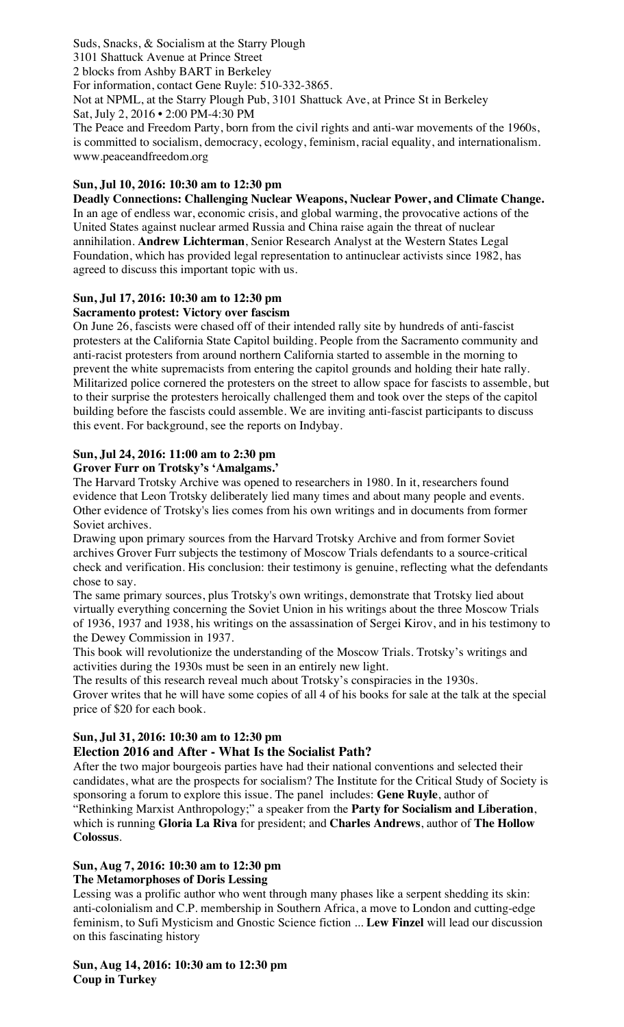Suds, Snacks, & Socialism at the Starry Plough 3101 Shattuck Avenue at Prince Street 2 blocks from Ashby BART in Berkeley For information, contact Gene Ruyle: 510-332-3865. Not at NPML, at the Starry Plough Pub, 3101 Shattuck Ave, at Prince St in Berkeley Sat, July 2, 2016 • 2:00 PM-4:30 PM The Peace and Freedom Party, born from the civil rights and anti-war movements of the 1960s,

is committed to socialism, democracy, ecology, feminism, racial equality, and internationalism. www.peaceandfreedom.org

## **Sun, Jul 10, 2016: 10:30 am to 12:30 pm**

**Deadly Connections: Challenging Nuclear Weapons, Nuclear Power, and Climate Change.** In an age of endless war, economic crisis, and global warming, the provocative actions of the United States against nuclear armed Russia and China raise again the threat of nuclear annihilation. **Andrew Lichterman**, Senior Research Analyst at the Western States Legal Foundation, which has provided legal representation to antinuclear activists since 1982, has agreed to discuss this important topic with us.

## **Sun, Jul 17, 2016: 10:30 am to 12:30 pm**

## **Sacramento protest: Victory over fascism**

On June 26, fascists were chased off of their intended rally site by hundreds of anti-fascist protesters at the California State Capitol building. People from the Sacramento community and anti-racist protesters from around northern California started to assemble in the morning to prevent the white supremacists from entering the capitol grounds and holding their hate rally. Militarized police cornered the protesters on the street to allow space for fascists to assemble, but to their surprise the protesters heroically challenged them and took over the steps of the capitol building before the fascists could assemble. We are inviting anti-fascist participants to discuss this event. For background, see the reports on Indybay.

## **Sun, Jul 24, 2016: 11:00 am to 2:30 pm**

### **Grover Furr on Trotsky's 'Amalgams.'**

The Harvard Trotsky Archive was opened to researchers in 1980. In it, researchers found evidence that Leon Trotsky deliberately lied many times and about many people and events. Other evidence of Trotsky's lies comes from his own writings and in documents from former Soviet archives.

Drawing upon primary sources from the Harvard Trotsky Archive and from former Soviet archives Grover Furr subjects the testimony of Moscow Trials defendants to a source-critical check and verification. His conclusion: their testimony is genuine, reflecting what the defendants chose to say.

The same primary sources, plus Trotsky's own writings, demonstrate that Trotsky lied about virtually everything concerning the Soviet Union in his writings about the three Moscow Trials of 1936, 1937 and 1938, his writings on the assassination of Sergei Kirov, and in his testimony to the Dewey Commission in 1937.

This book will revolutionize the understanding of the Moscow Trials. Trotsky's writings and activities during the 1930s must be seen in an entirely new light.

The results of this research reveal much about Trotsky's conspiracies in the 1930s. Grover writes that he will have some copies of all 4 of his books for sale at the talk at the special price of \$20 for each book.

## **Sun, Jul 31, 2016: 10:30 am to 12:30 pm**

## **Election 2016 and After - What Is the Socialist Path?**

After the two major bourgeois parties have had their national conventions and selected their candidates, what are the prospects for socialism? The Institute for the Critical Study of Society is sponsoring a forum to explore this issue. The panel includes: **Gene Ruyle**, author of "Rethinking Marxist Anthropology;" a speaker from the **Party for Socialism and Liberation**, which is running **Gloria La Riva** for president; and **Charles Andrews**, author of **The Hollow Colossus**.

# **Sun, Aug 7, 2016: 10:30 am to 12:30 pm**

### **The Metamorphoses of Doris Lessing**

Lessing was a prolific author who went through many phases like a serpent shedding its skin: anti-colonialism and C.P. membership in Southern Africa, a move to London and cutting-edge feminism, to Sufi Mysticism and Gnostic Science fiction ... **Lew Finzel** will lead our discussion on this fascinating history

**Sun, Aug 14, 2016: 10:30 am to 12:30 pm Coup in Turkey**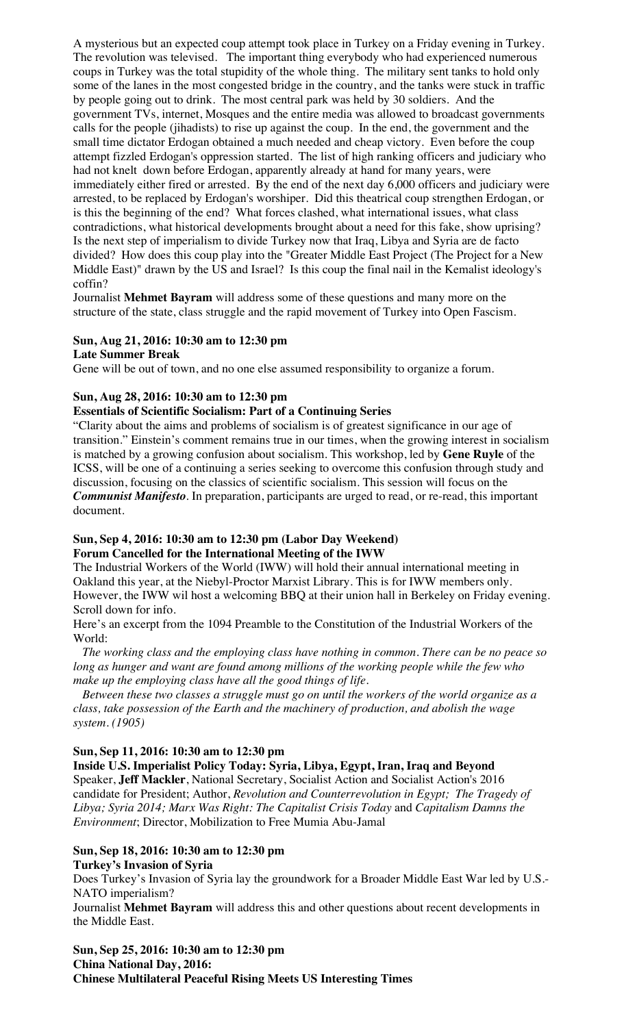A mysterious but an expected coup attempt took place in Turkey on a Friday evening in Turkey. The revolution was televised. The important thing everybody who had experienced numerous coups in Turkey was the total stupidity of the whole thing. The military sent tanks to hold only some of the lanes in the most congested bridge in the country, and the tanks were stuck in traffic by people going out to drink. The most central park was held by 30 soldiers. And the government TVs, internet, Mosques and the entire media was allowed to broadcast governments calls for the people (jihadists) to rise up against the coup. In the end, the government and the small time dictator Erdogan obtained a much needed and cheap victory. Even before the coup attempt fizzled Erdogan's oppression started. The list of high ranking officers and judiciary who had not knelt down before Erdogan, apparently already at hand for many years, were immediately either fired or arrested. By the end of the next day 6,000 officers and judiciary were arrested, to be replaced by Erdogan's worshiper. Did this theatrical coup strengthen Erdogan, or is this the beginning of the end? What forces clashed, what international issues, what class contradictions, what historical developments brought about a need for this fake, show uprising? Is the next step of imperialism to divide Turkey now that Iraq, Libya and Syria are de facto divided? How does this coup play into the "Greater Middle East Project (The Project for a New Middle East)" drawn by the US and Israel? Is this coup the final nail in the Kemalist ideology's coffin?

Journalist **Mehmet Bayram** will address some of these questions and many more on the structure of the state, class struggle and the rapid movement of Turkey into Open Fascism.

## **Sun, Aug 21, 2016: 10:30 am to 12:30 pm**

**Late Summer Break**

Gene will be out of town, and no one else assumed responsibility to organize a forum.

#### **Sun, Aug 28, 2016: 10:30 am to 12:30 pm**

## **Essentials of Scientific Socialism: Part of a Continuing Series**

"Clarity about the aims and problems of socialism is of greatest significance in our age of transition." Einstein's comment remains true in our times, when the growing interest in socialism is matched by a growing confusion about socialism. This workshop, led by **Gene Ruyle** of the ICSS, will be one of a continuing a series seeking to overcome this confusion through study and discussion, focusing on the classics of scientific socialism. This session will focus on the *Communist Manifesto*. In preparation, participants are urged to read, or re-read, this important document.

### **Sun, Sep 4, 2016: 10:30 am to 12:30 pm (Labor Day Weekend) Forum Cancelled for the International Meeting of the IWW**

The Industrial Workers of the World (IWW) will hold their annual international meeting in Oakland this year, at the Niebyl-Proctor Marxist Library. This is for IWW members only. However, the IWW wil host a welcoming BBQ at their union hall in Berkeley on Friday evening. Scroll down for info.

Here's an excerpt from the 1094 Preamble to the Constitution of the Industrial Workers of the World:

 *The working class and the employing class have nothing in common. There can be no peace so long as hunger and want are found among millions of the working people while the few who make up the employing class have all the good things of life.* 

 *Between these two classes a struggle must go on until the workers of the world organize as a class, take possession of the Earth and the machinery of production, and abolish the wage system. (1905)*

### **Sun, Sep 11, 2016: 10:30 am to 12:30 pm**

**Inside U.S. Imperialist Policy Today: Syria, Libya, Egypt, Iran, Iraq and Beyond** Speaker, **Jeff Mackler**, National Secretary, Socialist Action and Socialist Action's 2016 candidate for President; Author, *Revolution and Counterrevolution in Egypt; The Tragedy of Libya; Syria 2014; Marx Was Right: The Capitalist Crisis Today* and *Capitalism Damns the Environment*; Director, Mobilization to Free Mumia Abu-Jamal

#### **Sun, Sep 18, 2016: 10:30 am to 12:30 pm Turkey's Invasion of Syria**

Does Turkey's Invasion of Syria lay the groundwork for a Broader Middle East War led by U.S.- NATO imperialism?

Journalist **Mehmet Bayram** will address this and other questions about recent developments in the Middle East.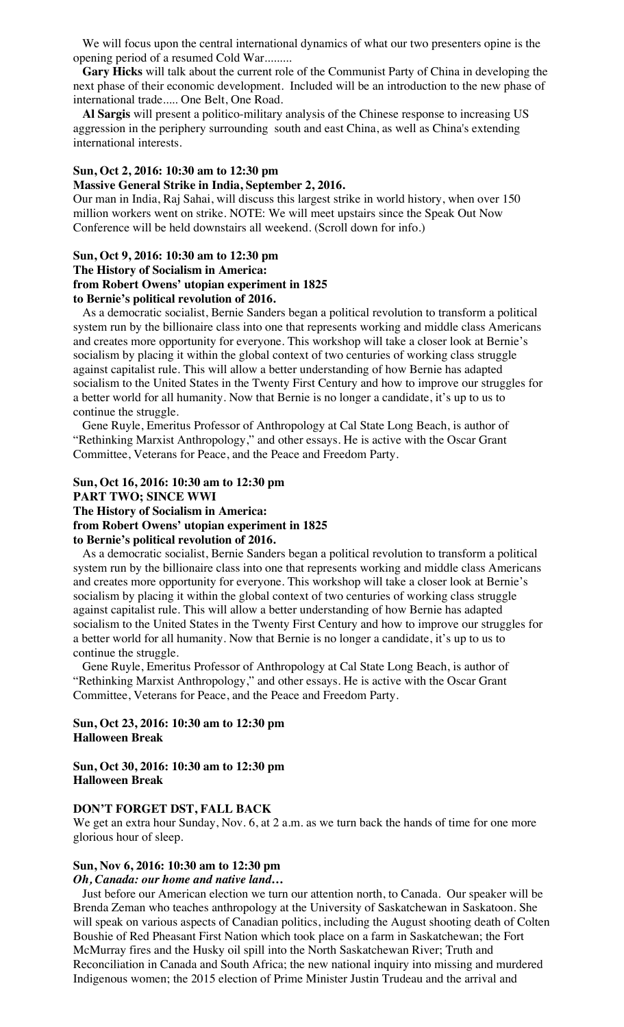We will focus upon the central international dynamics of what our two presenters opine is the opening period of a resumed Cold War.........

 **Gary Hicks** will talk about the current role of the Communist Party of China in developing the next phase of their economic development. Included will be an introduction to the new phase of international trade..... One Belt, One Road.

 **Al Sargis** will present a politico-military analysis of the Chinese response to increasing US aggression in the periphery surrounding south and east China, as well as China's extending international interests.

## **Sun, Oct 2, 2016: 10:30 am to 12:30 pm**

#### **Massive General Strike in India, September 2, 2016.**

Our man in India, Raj Sahai, will discuss this largest strike in world history, when over 150 million workers went on strike. NOTE: We will meet upstairs since the Speak Out Now Conference will be held downstairs all weekend. (Scroll down for info.)

#### **Sun, Oct 9, 2016: 10:30 am to 12:30 pm**

**The History of Socialism in America: from Robert Owens' utopian experiment in 1825 to Bernie's political revolution of 2016.**

 As a democratic socialist, Bernie Sanders began a political revolution to transform a political system run by the billionaire class into one that represents working and middle class Americans and creates more opportunity for everyone. This workshop will take a closer look at Bernie's socialism by placing it within the global context of two centuries of working class struggle against capitalist rule. This will allow a better understanding of how Bernie has adapted socialism to the United States in the Twenty First Century and how to improve our struggles for a better world for all humanity. Now that Bernie is no longer a candidate, it's up to us to continue the struggle.

 Gene Ruyle, Emeritus Professor of Anthropology at Cal State Long Beach, is author of "Rethinking Marxist Anthropology," and other essays. He is active with the Oscar Grant Committee, Veterans for Peace, and the Peace and Freedom Party.

**Sun, Oct 16, 2016: 10:30 am to 12:30 pm PART TWO; SINCE WWI The History of Socialism in America: from Robert Owens' utopian experiment in 1825 to Bernie's political revolution of 2016.**

 As a democratic socialist, Bernie Sanders began a political revolution to transform a political system run by the billionaire class into one that represents working and middle class Americans and creates more opportunity for everyone. This workshop will take a closer look at Bernie's socialism by placing it within the global context of two centuries of working class struggle against capitalist rule. This will allow a better understanding of how Bernie has adapted socialism to the United States in the Twenty First Century and how to improve our struggles for a better world for all humanity. Now that Bernie is no longer a candidate, it's up to us to continue the struggle.

 Gene Ruyle, Emeritus Professor of Anthropology at Cal State Long Beach, is author of "Rethinking Marxist Anthropology," and other essays. He is active with the Oscar Grant Committee, Veterans for Peace, and the Peace and Freedom Party.

**Sun, Oct 23, 2016: 10:30 am to 12:30 pm Halloween Break**

**Sun, Oct 30, 2016: 10:30 am to 12:30 pm Halloween Break**

#### **DON'T FORGET DST, FALL BACK**

We get an extra hour Sunday, Nov. 6, at 2 a.m. as we turn back the hands of time for one more glorious hour of sleep.

#### **Sun, Nov 6, 2016: 10:30 am to 12:30 pm**

#### *Oh, Canada: our home and native land***…**

 Just before our American election we turn our attention north, to Canada. Our speaker will be Brenda Zeman who teaches anthropology at the University of Saskatchewan in Saskatoon. She will speak on various aspects of Canadian politics, including the August shooting death of Colten Boushie of Red Pheasant First Nation which took place on a farm in Saskatchewan; the Fort McMurray fires and the Husky oil spill into the North Saskatchewan River; Truth and Reconciliation in Canada and South Africa; the new national inquiry into missing and murdered Indigenous women; the 2015 election of Prime Minister Justin Trudeau and the arrival and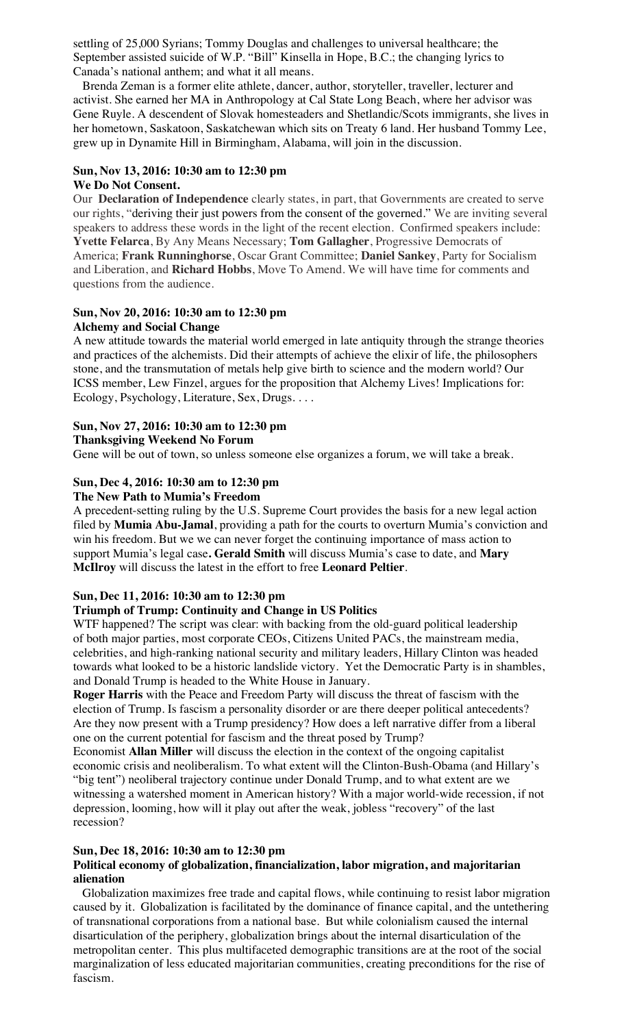settling of 25,000 Syrians; Tommy Douglas and challenges to universal healthcare; the September assisted suicide of W.P. "Bill" Kinsella in Hope, B.C.; the changing lyrics to Canada's national anthem; and what it all means.

 Brenda Zeman is a former elite athlete, dancer, author, storyteller, traveller, lecturer and activist. She earned her MA in Anthropology at Cal State Long Beach, where her advisor was Gene Ruyle. A descendent of Slovak homesteaders and Shetlandic/Scots immigrants, she lives in her hometown, Saskatoon, Saskatchewan which sits on Treaty 6 land. Her husband Tommy Lee, grew up in Dynamite Hill in Birmingham, Alabama, will join in the discussion.

# **Sun, Nov 13, 2016: 10:30 am to 12:30 pm**

## **We Do Not Consent.**

Our **Declaration of Independence** clearly states, in part, that Governments are created to serve our rights, "deriving their just powers from the consent of the governed." We are inviting several speakers to address these words in the light of the recent election. Confirmed speakers include: **Yvette Felarca**, By Any Means Necessary; **Tom Gallagher**, Progressive Democrats of America; **Frank Runninghorse**, Oscar Grant Committee; **Daniel Sankey**, Party for Socialism and Liberation, and **Richard Hobbs**, Move To Amend. We will have time for comments and questions from the audience.

#### **Sun, Nov 20, 2016: 10:30 am to 12:30 pm Alchemy and Social Change**

A new attitude towards the material world emerged in late antiquity through the strange theories and practices of the alchemists. Did their attempts of achieve the elixir of life, the philosophers stone, and the transmutation of metals help give birth to science and the modern world? Our ICSS member, Lew Finzel, argues for the proposition that Alchemy Lives! Implications for: Ecology, Psychology, Literature, Sex, Drugs. . . .

## **Sun, Nov 27, 2016: 10:30 am to 12:30 pm**

**Thanksgiving Weekend No Forum**

Gene will be out of town, so unless someone else organizes a forum, we will take a break.

## **Sun, Dec 4, 2016: 10:30 am to 12:30 pm**

## **The New Path to Mumia's Freedom**

A precedent-setting ruling by the U.S. Supreme Court provides the basis for a new legal action filed by **Mumia Abu-Jamal**, providing a path for the courts to overturn Mumia's conviction and win his freedom. But we we can never forget the continuing importance of mass action to support Mumia's legal case**. Gerald Smith** will discuss Mumia's case to date, and **Mary McIlroy** will discuss the latest in the effort to free **Leonard Peltier**.

## **Sun, Dec 11, 2016: 10:30 am to 12:30 pm**

## **Triumph of Trump: Continuity and Change in US Politics**

WTF happened? The script was clear: with backing from the old-guard political leadership of both major parties, most corporate CEOs, Citizens United PACs, the mainstream media, celebrities, and high-ranking national security and military leaders, Hillary Clinton was headed towards what looked to be a historic landslide victory. Yet the Democratic Party is in shambles, and Donald Trump is headed to the White House in January.

**Roger Harris** with the Peace and Freedom Party will discuss the threat of fascism with the election of Trump. Is fascism a personality disorder or are there deeper political antecedents? Are they now present with a Trump presidency? How does a left narrative differ from a liberal one on the current potential for fascism and the threat posed by Trump?

Economist **Allan Miller** will discuss the election in the context of the ongoing capitalist economic crisis and neoliberalism. To what extent will the Clinton-Bush-Obama (and Hillary's "big tent") neoliberal trajectory continue under Donald Trump, and to what extent are we witnessing a watershed moment in American history? With a major world-wide recession, if not depression, looming, how will it play out after the weak, jobless "recovery" of the last recession?

## **Sun, Dec 18, 2016: 10:30 am to 12:30 pm**

## **Political economy of globalization, financialization, labor migration, and majoritarian alienation**

 Globalization maximizes free trade and capital flows, while continuing to resist labor migration caused by it. Globalization is facilitated by the dominance of finance capital, and the untethering of transnational corporations from a national base. But while colonialism caused the internal disarticulation of the periphery, globalization brings about the internal disarticulation of the metropolitan center. This plus multifaceted demographic transitions are at the root of the social marginalization of less educated majoritarian communities, creating preconditions for the rise of fascism.